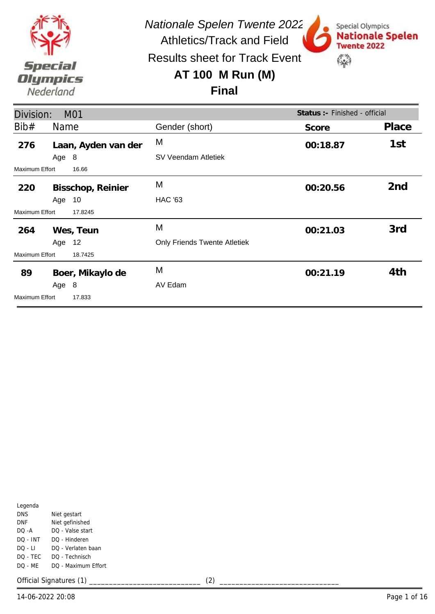

Special Olympics

**Twente 2022** 

\$

**Nationale Spelen** 

Results sheet for Track Event

### **AT 100 M Run (M)**

#### **Final**

| Division:             |        | <b>M01</b>          |                              | Status : - Finished - official |                 |
|-----------------------|--------|---------------------|------------------------------|--------------------------------|-----------------|
| Bib#                  | Name   |                     | Gender (short)               | Score                          | Place           |
| 276                   |        | Laan, Ayden van der | M                            | 00:18.87                       | 1st             |
|                       | Age 8  |                     | SV Veendam Atletiek          |                                |                 |
| Maximum Effort        |        | 16.66               |                              |                                |                 |
| 220                   |        | Bisschop, Reinier   | M                            | 00:20.56                       | 2 <sub>nd</sub> |
|                       | Age    | 10                  | <b>HAC '63</b>               |                                |                 |
| <b>Maximum Effort</b> |        | 17.8245             |                              |                                |                 |
| 264                   |        | Wes, Teun           | M                            | 00:21.03                       | 3rd             |
|                       | Age 12 |                     | Only Friends Twente Atletiek |                                |                 |
| Maximum Effort        |        | 18.7425             |                              |                                |                 |
| 89                    |        | Boer, Mikaylo de    | M                            | 00:21.19                       | 4th             |
|                       | Age 8  |                     | AV Edam                      |                                |                 |
| <b>Maximum Effort</b> |        | 17.833              |                              |                                |                 |

| Legenda    |                     |
|------------|---------------------|
| <b>DNS</b> | Niet gestart        |
| DNF        | Niet gefinished     |
| DO -A      | DO - Valse start    |
| DO - INT   | DO - Hinderen       |
| DO - LI    | DO - Verlaten baan  |
| DO - TEC   | DO - Technisch      |
| DO - MF    | DO - Maximum Effort |
|            |                     |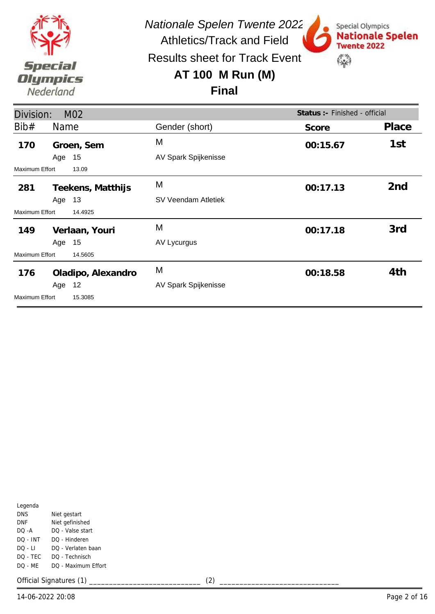

Results sheet for Track Event

## **AT 100 M Run (M)**



#### **Final**

|                | Status :- Finished - official<br>Division:<br>M <sub>02</sub> |                      |          |                 |  |  |
|----------------|---------------------------------------------------------------|----------------------|----------|-----------------|--|--|
| Bib#           | <b>Name</b>                                                   | Gender (short)       | Score    | Place           |  |  |
| 170            | Groen, Sem                                                    | M                    | 00:15.67 | 1st             |  |  |
|                | 15<br>Age                                                     | AV Spark Spijkenisse |          |                 |  |  |
| Maximum Effort | 13.09                                                         |                      |          |                 |  |  |
| 281            | Teekens, Matthijs                                             | M                    | 00:17.13 | 2 <sub>nd</sub> |  |  |
|                | 13<br>Age                                                     | SV Veendam Atletiek  |          |                 |  |  |
| Maximum Effort | 14.4925                                                       |                      |          |                 |  |  |
| 149            | Verlaan, Youri                                                | M                    | 00:17.18 | 3rd             |  |  |
|                | Age 15                                                        | AV Lycurgus          |          |                 |  |  |
| Maximum Effort | 14.5605                                                       |                      |          |                 |  |  |
| 176            | Oladipo, Alexandro                                            | M                    | 00:18.58 | 4th             |  |  |
|                | 12<br>Age                                                     | AV Spark Spijkenisse |          |                 |  |  |
| Maximum Effort | 15.3085                                                       |                      |          |                 |  |  |

| Legenda    |                     |
|------------|---------------------|
| <b>DNS</b> | Niet gestart        |
| DNF        | Niet gefinished     |
| DO -A      | DO - Valse start    |
| DO - INT   | DO - Hinderen       |
| DO - LI    | DO - Verlaten baan  |
| DO - TEC   | DO - Technisch      |
| DO - MF    | DO - Maximum Effort |
|            |                     |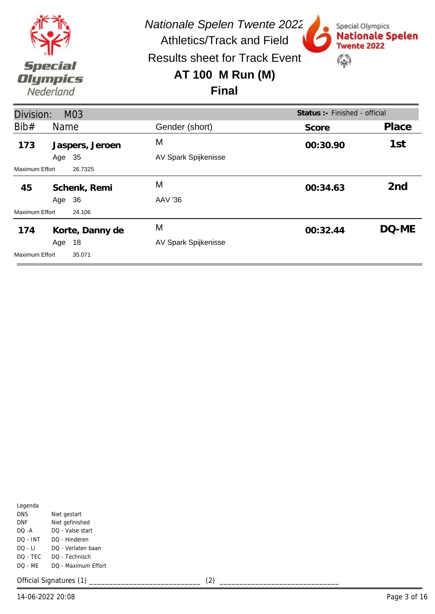

Results sheet for Track Event

### **AT 100 M Run (M)**



**Final**

| Status :- Finished - official<br>Division:<br>M03 |                 |                      |          |                 |  |
|---------------------------------------------------|-----------------|----------------------|----------|-----------------|--|
| Bib#                                              | <b>Name</b>     | Gender (short)       | Score    | Place           |  |
| 173                                               | Jaspers, Jeroen | M                    | 00:30.90 | 1st             |  |
|                                                   | 35<br>Age       | AV Spark Spijkenisse |          |                 |  |
| Maximum Effort                                    | 26.7325         |                      |          |                 |  |
| 45                                                | Schenk, Remi    | M                    | 00:34.63 | 2 <sub>nd</sub> |  |
|                                                   | 36<br>Age       | AAV '36              |          |                 |  |
| Maximum Effort                                    | 24.106          |                      |          |                 |  |
| 174                                               | Korte, Danny de | M                    | 00:32.44 | DQ-ME           |  |
|                                                   | 18<br>Age       | AV Spark Spijkenisse |          |                 |  |
| Maximum Effort                                    | 35.071          |                      |          |                 |  |

| Legenda    |                     |
|------------|---------------------|
| <b>DNS</b> | Niet gestart        |
| DNF        | Niet gefinished     |
| DO -A      | DO - Valse start    |
| DO - INT   | DO - Hinderen       |
| DO - LI    | DO - Verlaten baan  |
| DO - TEC   | DO - Technisch      |
| DO - ME    | DO - Maximum Effort |
|            |                     |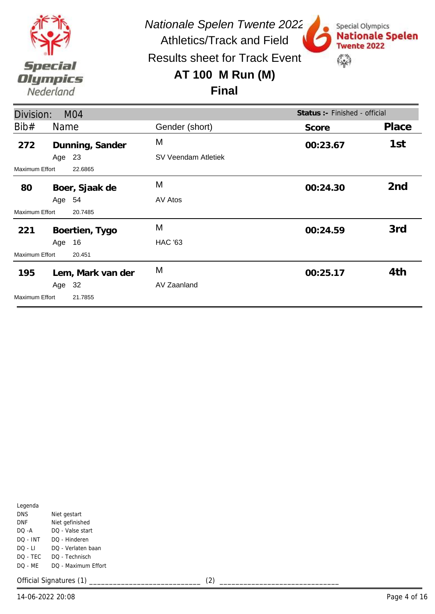

Special Olympics

**Twente 2022** 

\$

**Nationale Spelen** 

Results sheet for Track Event

## **AT 100 M Run (M)**

#### **Final**

| Division:             |        | M <sub>04</sub>   |                     | Status : - Finished - official |       |  |
|-----------------------|--------|-------------------|---------------------|--------------------------------|-------|--|
| Bib#                  | Name   |                   | Gender (short)      | Score                          | Place |  |
| 272                   |        | Dunning, Sander   | M                   | 00:23.67                       | 1st   |  |
|                       | Age 23 |                   | SV Veendam Atletiek |                                |       |  |
| Maximum Effort        |        | 22.6865           |                     |                                |       |  |
| 80                    |        | Boer, Sjaak de    | M                   | 00:24.30                       | 2nd   |  |
|                       | Age 54 |                   | AV Atos             |                                |       |  |
| Maximum Effort        |        | 20.7485           |                     |                                |       |  |
| 221                   |        | Boertien, Tygo    | M                   | 00:24.59                       | 3rd   |  |
|                       | Age    | 16                | <b>HAC '63</b>      |                                |       |  |
| Maximum Effort        |        | 20.451            |                     |                                |       |  |
| 195                   |        | Lem, Mark van der | M                   | 00:25.17                       | 4th   |  |
|                       | Age 32 |                   | AV Zaanland         |                                |       |  |
| <b>Maximum Effort</b> |        | 21.7855           |                     |                                |       |  |

| Legenda  |                     |
|----------|---------------------|
| DNS      | Niet gestart        |
| DNF      | Niet gefinished     |
| DO -A    | DO - Valse start    |
| DO - INT | DO - Hinderen       |
| DO - LI  | DO - Verlaten baan  |
| DQ - TEC | DO - Technisch      |
| DO - ME  | DO - Maximum Effort |
|          |                     |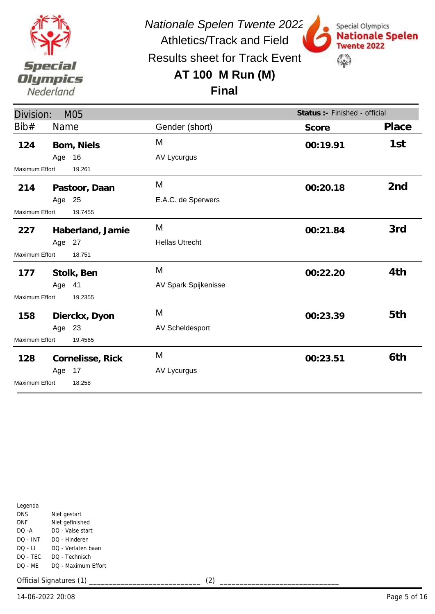

Results sheet for Track Event

## **AT 100 M Run (M)**



**Final**

| Division:             |        | M05              |                        | Status :- Finished - official |       |
|-----------------------|--------|------------------|------------------------|-------------------------------|-------|
| Bib#                  | Name   |                  | Gender (short)         | Score                         | Place |
| 124                   |        | Bom, Niels       | M                      | 00:19.91                      | 1st   |
|                       | Age 16 |                  | AV Lycurgus            |                               |       |
| <b>Maximum Effort</b> |        | 19.261           |                        |                               |       |
| 214                   |        | Pastoor, Daan    | M                      | 00:20.18                      | 2nd   |
|                       | Age 25 |                  | E.A.C. de Sperwers     |                               |       |
| <b>Maximum Effort</b> |        | 19.7455          |                        |                               |       |
| 227                   |        | Haberland, Jamie | M                      | 00:21.84                      | 3rd   |
|                       | Age 27 |                  | <b>Hellas Utrecht</b>  |                               |       |
| <b>Maximum Effort</b> |        | 18.751           |                        |                               |       |
| 177                   |        | Stolk, Ben       | M                      | 00:22.20                      | 4th   |
|                       | Age 41 |                  | AV Spark Spijkenisse   |                               |       |
| Maximum Effort        |        | 19.2355          |                        |                               |       |
| 158                   |        | Dierckx, Dyon    | M                      | 00:23.39                      | 5th   |
|                       | Age 23 |                  | <b>AV Scheldesport</b> |                               |       |
| Maximum Effort        |        | 19.4565          |                        |                               |       |
| 128                   |        | Cornelisse, Rick | M                      | 00:23.51                      | 6th   |
|                       | Age 17 |                  | AV Lycurgus            |                               |       |
| <b>Maximum Effort</b> |        | 18.258           |                        |                               |       |

| Legenda    |                     |
|------------|---------------------|
| <b>DNS</b> | Niet gestart        |
| DNF        | Niet gefinished     |
| DO -A      | DO - Valse start    |
| DO - INT   | DO - Hinderen       |
| DO - LI    | DO - Verlaten baan  |
| DO - TEC   | DO - Technisch      |
| DO - MF    | DO - Maximum Effort |
|            |                     |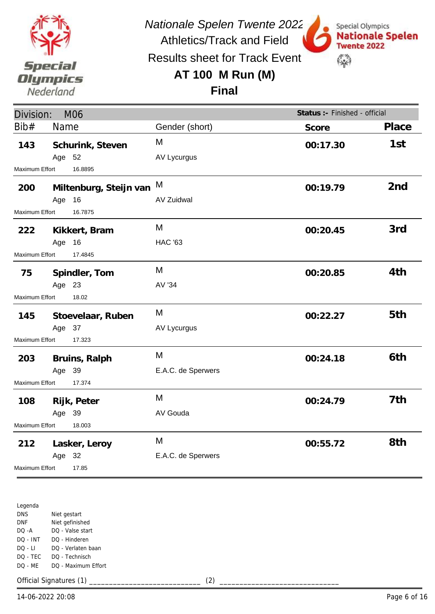

Special Olympics

**Twente 2022** 

\$

**Nationale Spelen** 

Athletics/Track and Field Results sheet for Track Event

## **AT 100 M Run (M)**



| Division:<br>M06 |             |                        |                    | Status :- Finished - official |                 |
|------------------|-------------|------------------------|--------------------|-------------------------------|-----------------|
| Bib#             | <b>Name</b> |                        | Gender (short)     | Score                         | Place           |
| 143              | Age 52      | Schurink, Steven       | M<br>AV Lycurgus   | 00:17.30                      | 1st             |
| Maximum Effort   |             | 16.8895                |                    |                               |                 |
| 200              |             | Miltenburg, Steijn van | M                  | 00:19.79                      | 2 <sub>nd</sub> |
|                  | Age         | 16                     | <b>AV Zuidwal</b>  |                               |                 |
| Maximum Effort   |             | 16.7875                |                    |                               |                 |
| 222              |             | Kikkert, Bram          | M                  | 00:20.45                      | 3rd             |
|                  | Age 16      |                        | <b>HAC '63</b>     |                               |                 |
| Maximum Effort   |             | 17.4845                |                    |                               |                 |
| 75               |             | Spindler, Tom          | M                  | 00:20.85                      | 4th             |
|                  | Age 23      |                        | AV '34             |                               |                 |
| Maximum Effort   |             | 18.02                  |                    |                               |                 |
| 145              |             | Stoevelaar, Ruben      | M                  | 00:22.27                      | 5th             |
|                  | Age 37      |                        | AV Lycurgus        |                               |                 |
| Maximum Effort   |             | 17.323                 |                    |                               |                 |
| 203              |             | Bruins, Ralph          | M                  | 00:24.18                      | 6th             |
|                  | Age 39      |                        | E.A.C. de Sperwers |                               |                 |
| Maximum Effort   |             | 17.374                 |                    |                               |                 |
| 108              |             | Rijk, Peter            | M                  | 00:24.79                      | 7th             |
|                  | Age 39      |                        | AV Gouda           |                               |                 |
| Maximum Effort   |             | 18.003                 |                    |                               |                 |
| 212              |             | Lasker, Leroy          | M                  | 00:55.72                      | 8th             |
|                  | Age 32      |                        | E.A.C. de Sperwers |                               |                 |
| Maximum Effort   |             | 17.85                  |                    |                               |                 |

Legenda DNS DNF DQ -A DQ - INT DQ - LI DQ - TEC DQ - ME Niet gestart Niet gefinished DQ - Valse start DQ - Hinderen DQ - Verlaten baan DQ - Technisch DQ - Maximum Effort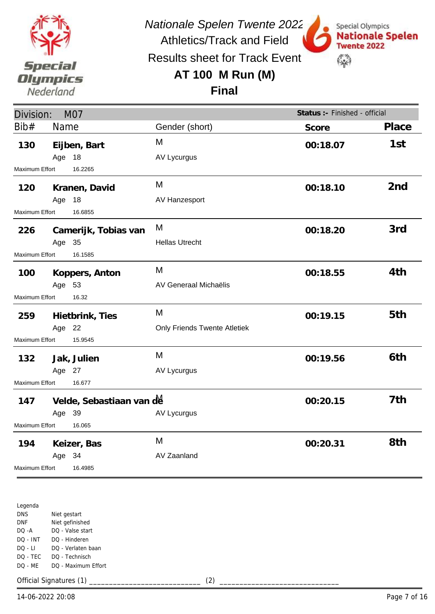

Athletics/Track and Field Results sheet for Track Event

## **AT 100 M Run (M)**



Special Olympics

**Final**

| Division:<br><b>M07</b> |        |                          |                                     | Status :- Finished - official |                 |
|-------------------------|--------|--------------------------|-------------------------------------|-------------------------------|-----------------|
| Bib#                    | Name   |                          | Gender (short)                      | Score                         | Place           |
| 130                     |        | Eijben, Bart             | M                                   | 00:18.07                      | 1st             |
|                         | Age    | 18                       | AV Lycurgus                         |                               |                 |
| Maximum Effort          |        | 16.2265                  |                                     |                               |                 |
| 120                     |        | Kranen, David            | M                                   | 00:18.10                      | 2 <sub>nd</sub> |
|                         | Age 18 |                          | AV Hanzesport                       |                               |                 |
| Maximum Effort          |        | 16.6855                  |                                     |                               |                 |
| 226                     |        | Camerijk, Tobias van     | M                                   | 00:18.20                      | 3rd             |
|                         | Age 35 |                          | <b>Hellas Utrecht</b>               |                               |                 |
| <b>Maximum Effort</b>   |        | 16.1585                  |                                     |                               |                 |
| 100                     |        | Koppers, Anton           | M                                   | 00:18.55                      | 4th             |
|                         | Age 53 |                          | AV Generaal Michaëlis               |                               |                 |
| Maximum Effort          |        | 16.32                    |                                     |                               |                 |
| 259                     |        | Hietbrink, Ties          | M                                   | 00:19.15                      | 5th             |
|                         | Age 22 |                          | <b>Only Friends Twente Atletiek</b> |                               |                 |
| <b>Maximum Effort</b>   |        | 15.9545                  |                                     |                               |                 |
| 132                     |        | Jak, Julien              | M                                   | 00:19.56                      | 6th             |
|                         | Age 27 |                          | AV Lycurgus                         |                               |                 |
| Maximum Effort          |        | 16.677                   |                                     |                               |                 |
| 147                     |        | Velde, Sebastiaan van de |                                     | 00:20.15                      | 7th             |
|                         | Age 39 |                          | <b>AV Lycurgus</b>                  |                               |                 |
| <b>Maximum Effort</b>   |        | 16.065                   |                                     |                               |                 |
| 194                     |        | Keizer, Bas              | M                                   | 00:20.31                      | 8th             |
|                         | Age 34 |                          | AV Zaanland                         |                               |                 |
| Maximum Effort          |        | 16.4985                  |                                     |                               |                 |

Legenda DNS DNF DQ -A DQ - INT DQ - LI DQ - TEC DQ - ME Niet gestart Niet gefinished DQ - Valse start DQ - Hinderen DQ - Verlaten baan DQ - Technisch DQ - Maximum Effort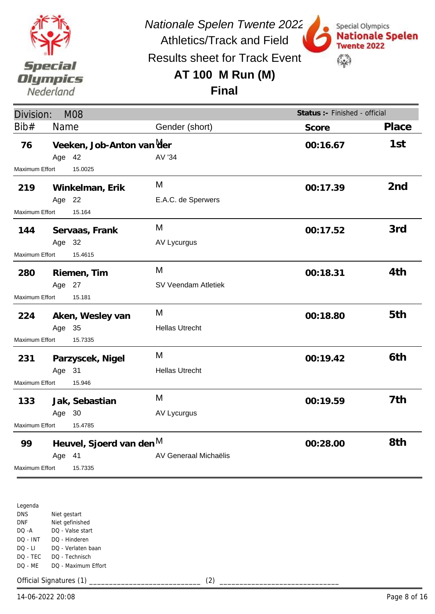

Special Olympics

**Twente 2022** 

\$

**Nationale Spelen** 

Athletics/Track and Field Results sheet for Track Event

#### **AT 100 M Run (M)**

**Final**

| Division:             |        | <b>M08</b>                |                       | Status :- Finished - official |                 |
|-----------------------|--------|---------------------------|-----------------------|-------------------------------|-----------------|
| Bib#                  | Name   |                           | Gender (short)        | Score                         | Place           |
| 76                    |        | Veeken, Job-Anton van Mer |                       | 00:16.67                      | 1st             |
|                       | Age 42 |                           | AV '34                |                               |                 |
| Maximum Effort        |        | 15.0025                   |                       |                               |                 |
| 219                   |        | Winkelman, Erik           | M                     | 00:17.39                      | 2 <sub>nd</sub> |
|                       | Age 22 |                           | E.A.C. de Sperwers    |                               |                 |
| Maximum Effort        |        | 15.164                    |                       |                               |                 |
| 144                   |        | Servaas, Frank            | M                     | 00:17.52                      | 3rd             |
|                       | Age 32 |                           | AV Lycurgus           |                               |                 |
| Maximum Effort        |        | 15.4615                   |                       |                               |                 |
| 280                   |        | Riemen, Tim               | M                     | 00:18.31                      | 4th             |
|                       | Age 27 |                           | SV Veendam Atletiek   |                               |                 |
| Maximum Effort        |        | 15.181                    |                       |                               |                 |
| 224                   |        | Aken, Wesley van          | M                     | 00:18.80                      | 5th             |
|                       | Age 35 |                           | <b>Hellas Utrecht</b> |                               |                 |
| <b>Maximum Effort</b> |        | 15.7335                   |                       |                               |                 |
| 231                   |        | Parzyscek, Nigel          | M                     | 00:19.42                      | 6th             |
|                       | Age 31 |                           | <b>Hellas Utrecht</b> |                               |                 |
| Maximum Effort        |        | 15.946                    |                       |                               |                 |
| 133                   |        | Jak, Sebastian            | M                     | 00:19.59                      | 7th             |
|                       | Age 30 |                           | AV Lycurgus           |                               |                 |
| Maximum Effort        |        | 15.4785                   |                       |                               |                 |
| 99                    |        | Heuvel, Sjoerd van den M  |                       | 00:28.00                      | 8th             |
|                       | Age 41 |                           | AV Generaal Michaëlis |                               |                 |
| Maximum Effort        |        | 15.7335                   |                       |                               |                 |

Legenda DNS DNF DQ -A DQ - INT DQ - LI DQ - TEC DQ - ME Niet gestart Niet gefinished DQ - Valse start DQ - Hinderen DQ - Verlaten baan DQ - Technisch DQ - Maximum Effort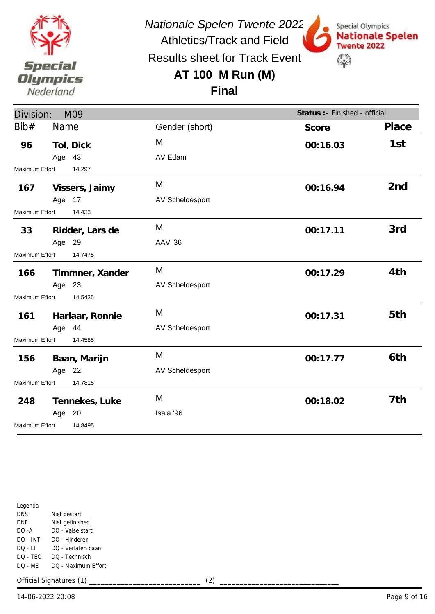

Results sheet for Track Event

Athletics/Track and Field

## **AT 100 M Run (M)**



Special Olympics

**Twente 2022** 

\$

**Nationale Spelen** 

| Division:                        |             | M09             |                        | Status :- Finished - official |                 |
|----------------------------------|-------------|-----------------|------------------------|-------------------------------|-----------------|
| Bib#                             | <b>Name</b> |                 | Gender (short)         | Score                         | Place           |
| 96                               |             | Tol, Dick       | M                      | 00:16.03                      | 1st             |
|                                  | Age 43      |                 | AV Edam                |                               |                 |
| <b>Maximum Effort</b>            |             | 14.297          |                        |                               |                 |
| 167                              |             | Vissers, Jaimy  | M                      | 00:16.94                      | 2 <sub>nd</sub> |
|                                  | Age 17      |                 | AV Scheldesport        |                               |                 |
| Maximum Effort                   |             | 14.433          |                        |                               |                 |
| 33                               |             | Ridder, Lars de | M                      | 00:17.11                      | 3rd             |
|                                  | Age 29      |                 | <b>AAV '36</b>         |                               |                 |
| <b>Maximum Effort</b><br>14.7475 |             |                 |                        |                               |                 |
| 166                              |             | Timmner, Xander | M                      | 00:17.29                      | 4th             |
|                                  | Age 23      |                 | AV Scheldesport        |                               |                 |
| <b>Maximum Effort</b>            |             | 14.5435         |                        |                               |                 |
| 161                              |             | Harlaar, Ronnie | M                      | 00:17.31                      | 5th             |
|                                  | Age 44      |                 | <b>AV Scheldesport</b> |                               |                 |
| Maximum Effort                   |             | 14.4585         |                        |                               |                 |
| 156                              |             | Baan, Marijn    | M                      | 00:17.77                      | 6th             |
|                                  | Age 22      |                 | AV Scheldesport        |                               |                 |
| Maximum Effort                   |             | 14.7815         |                        |                               |                 |
| 248                              |             | Tennekes, Luke  | M                      | 00:18.02                      | 7th             |
|                                  | Age 20      |                 | Isala '96              |                               |                 |
| Maximum Effort                   |             | 14.8495         |                        |                               |                 |

Legenda DNS DNF DQ -A DQ - INT DQ - LI DQ - TEC DQ - ME Niet gestart Niet gefinished DQ - Valse start DQ - Hinderen DQ - Verlaten baan DQ - Technisch DQ - Maximum Effort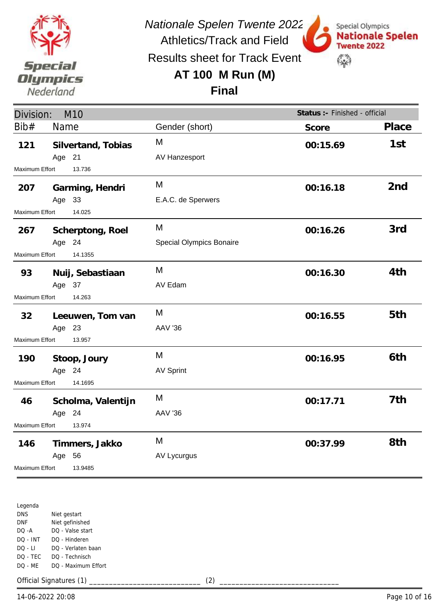

Athletics/Track and Field Results sheet for Track Event

## **AT 100 M Run (M)**



## **Final**

| Division:             | M <sub>10</sub>    |                          | Status :- Finished - official |                 |
|-----------------------|--------------------|--------------------------|-------------------------------|-----------------|
| Bib#                  | <b>Name</b>        | Gender (short)           | Score                         | Place           |
| 121                   | Silvertand, Tobias | M                        | 00:15.69                      | 1st             |
|                       | Age 21             | AV Hanzesport            |                               |                 |
| Maximum Effort        | 13.736             |                          |                               |                 |
| 207                   | Garming, Hendri    | M                        | 00:16.18                      | 2 <sub>nd</sub> |
|                       | Age 33             | E.A.C. de Sperwers       |                               |                 |
| Maximum Effort        | 14.025             |                          |                               |                 |
| 267                   | Scherptong, Roel   | M                        | 00:16.26                      | 3rd             |
|                       | Age 24             | Special Olympics Bonaire |                               |                 |
| Maximum Effort        | 14.1355            |                          |                               |                 |
| 93                    | Nuij, Sebastiaan   | M                        | 00:16.30                      | 4th             |
|                       | Age 37             | AV Edam                  |                               |                 |
| Maximum Effort        | 14.263             |                          |                               |                 |
| 32                    | Leeuwen, Tom van   | M                        | 00:16.55                      | 5th             |
|                       | Age 23             | <b>AAV '36</b>           |                               |                 |
| Maximum Effort        | 13.957             |                          |                               |                 |
| 190                   | Stoop, Joury       | M                        | 00:16.95                      | 6th             |
|                       | Age 24             | <b>AV Sprint</b>         |                               |                 |
| Maximum Effort        | 14.1695            |                          |                               |                 |
| 46                    | Scholma, Valentijn | M                        | 00:17.71                      | 7th             |
|                       | Age 24             | <b>AAV '36</b>           |                               |                 |
| <b>Maximum Effort</b> | 13.974             |                          |                               |                 |
| 146                   | Timmers, Jakko     | M                        | 00:37.99                      | 8th             |
|                       | 56<br>Age          | AV Lycurgus              |                               |                 |
| Maximum Effort        | 13.9485            |                          |                               |                 |

Legenda DNS DNF DQ -A DQ - INT DQ - LI DQ - TEC DQ - ME Niet gestart Niet gefinished DQ - Valse start DQ - Hinderen DQ - Verlaten baan DQ - Technisch DQ - Maximum Effort

Official Signatures (1) \_\_\_\_\_\_\_\_\_\_\_\_\_\_\_\_\_\_\_\_\_\_\_\_\_\_\_\_ (2) \_\_\_\_\_\_\_\_\_\_\_\_\_\_\_\_\_\_\_\_\_\_\_\_\_\_\_\_\_\_

14-06-2022 20:08 Page 10 of 16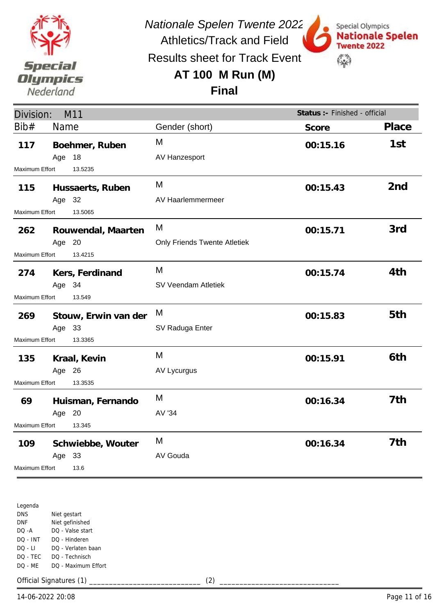

Athletics/Track and Field Results sheet for Track Event

## **AT 100 M Run (M)**



**Final**

| Division:             |        | M11                  |                              | Status :- Finished - official |                 |
|-----------------------|--------|----------------------|------------------------------|-------------------------------|-----------------|
| Bib#                  | Name   |                      | Gender (short)               | Score                         | Place           |
| 117                   |        | Boehmer, Ruben       | M                            | 00:15.16                      | 1st             |
|                       | Age    | 18                   | AV Hanzesport                |                               |                 |
| Maximum Effort        |        | 13.5235              |                              |                               |                 |
| 115                   |        | Hussaerts, Ruben     | M                            | 00:15.43                      | 2 <sub>nd</sub> |
|                       | Age 32 |                      | AV Haarlemmermeer            |                               |                 |
| <b>Maximum Effort</b> |        | 13.5065              |                              |                               |                 |
| 262                   |        | Rouwendal, Maarten   | M                            | 00:15.71                      | 3rd             |
|                       | Age 20 |                      | Only Friends Twente Atletiek |                               |                 |
| Maximum Effort        |        | 13.4215              |                              |                               |                 |
| 274                   |        | Kers, Ferdinand      | M                            | 00:15.74                      | 4th             |
|                       | Age 34 |                      | SV Veendam Atletiek          |                               |                 |
| Maximum Effort        |        | 13.549               |                              |                               |                 |
| 269                   |        | Stouw, Erwin van der | M                            | 00:15.83                      | 5th             |
|                       | Age 33 |                      | SV Raduga Enter              |                               |                 |
| <b>Maximum Effort</b> |        | 13.3365              |                              |                               |                 |
| 135                   |        | Kraal, Kevin         | M                            | 00:15.91                      | 6th             |
|                       | Age 26 |                      | <b>AV Lycurgus</b>           |                               |                 |
| Maximum Effort        |        | 13.3535              |                              |                               |                 |
| 69                    |        | Huisman, Fernando    | M                            | 00:16.34                      | 7th             |
|                       | Age 20 |                      | AV '34                       |                               |                 |
| Maximum Effort        |        | 13.345               |                              |                               |                 |
| 109                   |        | Schwiebbe, Wouter    | M                            | 00:16.34                      | 7th             |
|                       | Age 33 |                      | AV Gouda                     |                               |                 |
| Maximum Effort        |        | 13.6                 |                              |                               |                 |

Legenda DNS DNF DQ -A DQ - INT DQ - LI DQ - TEC DQ - ME Niet gestart Niet gefinished DQ - Valse start DQ - Hinderen DQ - Verlaten baan DQ - Technisch DQ - Maximum Effort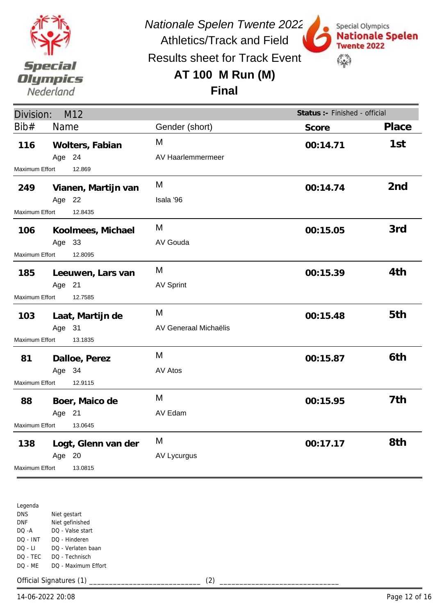

Results sheet for Track Event

Athletics/Track and Field

## **AT 100 M Run (M)**



# **Final**

| Division:                 | M <sub>12</sub>           |                        | Status :- Finished - official |                 |
|---------------------------|---------------------------|------------------------|-------------------------------|-----------------|
| Bib#                      | Name                      | Gender (short)         | Score                         | Place           |
| 116                       | Wolters, Fabian<br>Age 24 | M<br>AV Haarlemmermeer | 00:14.71                      | 1st             |
| Maximum Effort            | 12.869                    |                        |                               |                 |
| 249                       | Vianen, Martijn van       | M                      | 00:14.74                      | 2 <sub>nd</sub> |
|                           | Age 22                    | Isala '96              |                               |                 |
| Maximum Effort            | 12.8435                   |                        |                               |                 |
| 106                       | Koolmees, Michael         | M                      | 00:15.05                      | 3rd             |
|                           | Age 33                    | AV Gouda               |                               |                 |
| <b>Maximum Effort</b>     | 12.8095                   |                        |                               |                 |
| 185                       | Leeuwen, Lars van         | M                      | 00:15.39                      | 4th             |
|                           | Age 21                    | <b>AV Sprint</b>       |                               |                 |
| Maximum Effort            | 12.7585                   |                        |                               |                 |
| 103                       | Laat, Martijn de          | M                      | 00:15.48                      | 5th             |
|                           | Age 31                    | AV Generaal Michaëlis  |                               |                 |
| Maximum Effort            | 13.1835                   |                        |                               |                 |
| 81                        | Dalloe, Perez             | M                      | 00:15.87                      | 6th             |
|                           | Age 34                    | AV Atos                |                               |                 |
| Maximum Effort            | 12.9115                   |                        |                               |                 |
| 88                        | Boer, Maico de            | M                      | 00:15.95                      | 7th             |
|                           | Age 21                    | AV Edam                |                               |                 |
| Maximum Effort<br>13.0645 |                           |                        |                               |                 |
| 138                       | Logt, Glenn van der       | M                      | 00:17.17                      | 8th             |
|                           | Age 20                    | AV Lycurgus            |                               |                 |
| Maximum Effort            | 13.0815                   |                        |                               |                 |

Legenda DNS DNF DQ -A DQ - INT DQ - LI DQ - TEC DQ - ME Niet gestart Niet gefinished DQ - Valse start DQ - Hinderen DQ - Verlaten baan DQ - Technisch DQ - Maximum Effort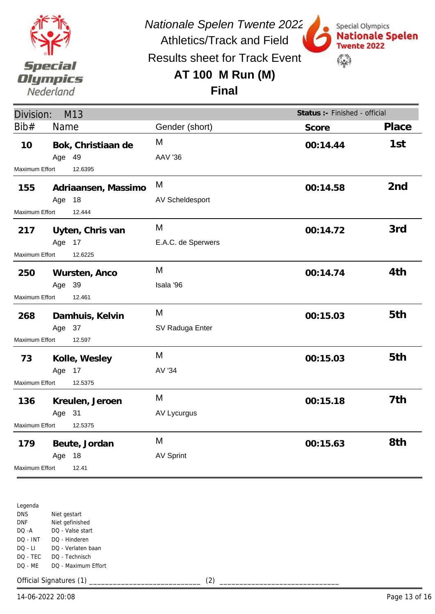

Athletics/Track and Field Results sheet for Track Event

## **AT 100 M Run (M)**



**Final**

| Division:             |        | M13                 |                    | Status :- Finished - official |                 |
|-----------------------|--------|---------------------|--------------------|-------------------------------|-----------------|
| Bib#                  | Name   |                     | Gender (short)     | Score                         | Place           |
| 10                    |        | Bok, Christiaan de  | M                  | 00:14.44                      | 1st             |
|                       | Age 49 |                     | <b>AAV '36</b>     |                               |                 |
| Maximum Effort        |        | 12.6395             |                    |                               |                 |
| 155                   |        | Adriaansen, Massimo | M                  | 00:14.58                      | 2 <sub>nd</sub> |
|                       | Age    | 18                  | AV Scheldesport    |                               |                 |
| Maximum Effort        |        | 12.444              |                    |                               |                 |
| 217                   |        | Uyten, Chris van    | M                  | 00:14.72                      | 3rd             |
|                       | Age 17 |                     | E.A.C. de Sperwers |                               |                 |
| Maximum Effort        |        | 12.6225             |                    |                               |                 |
| 250                   |        | Wursten, Anco       | M                  | 00:14.74                      | 4th             |
|                       | Age 39 |                     | Isala '96          |                               |                 |
| Maximum Effort        |        | 12.461              |                    |                               |                 |
| 268                   |        | Damhuis, Kelvin     | M                  | 00:15.03                      | 5th             |
|                       | Age 37 |                     | SV Raduga Enter    |                               |                 |
| <b>Maximum Effort</b> |        | 12.597              |                    |                               |                 |
| 73                    |        | Kolle, Wesley       | M                  | 00:15.03                      | 5th             |
|                       | Age 17 |                     | AV '34             |                               |                 |
| Maximum Effort        |        | 12.5375             |                    |                               |                 |
| 136                   |        | Kreulen, Jeroen     | M                  | 00:15.18                      | 7th             |
|                       | Age 31 |                     | <b>AV Lycurgus</b> |                               |                 |
| Maximum Effort        |        | 12.5375             |                    |                               |                 |
| 179                   |        | Beute, Jordan       | M                  | 00:15.63                      | 8th             |
|                       | Age    | 18                  | <b>AV Sprint</b>   |                               |                 |
| Maximum Effort        |        | 12.41               |                    |                               |                 |

Legenda DNS DNF DQ -A DQ - INT DQ - LI DQ - TEC DQ - ME Niet gestart Niet gefinished DQ - Valse start DQ - Hinderen DQ - Verlaten baan DQ - Technisch DQ - Maximum Effort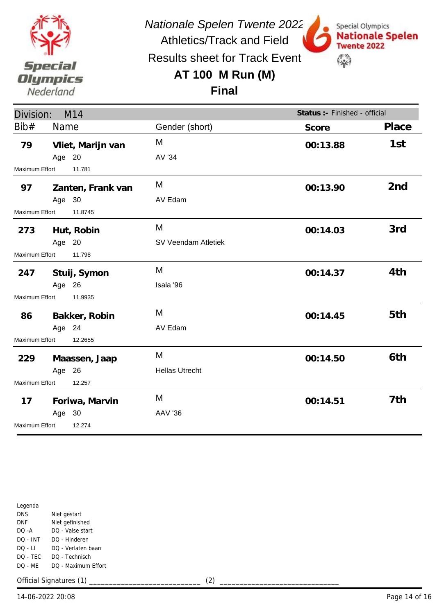

Special Olympics

**Twente 2022** 

\$

**Nationale Spelen** 

Results sheet for Track Event

## **AT 100 M Run (M)**



| Division:<br>M14         |        |                   |                       | Status :- Finished - official |                 |
|--------------------------|--------|-------------------|-----------------------|-------------------------------|-----------------|
| Bib#                     | Name   |                   | Gender (short)        | Score                         | Place           |
| 79                       |        | Vliet, Marijn van | M                     | 00:13.88                      | 1st             |
|                          | Age 20 |                   | AV '34                |                               |                 |
| <b>Maximum Effort</b>    |        | 11.781            |                       |                               |                 |
| 97                       |        | Zanten, Frank van | M                     | 00:13.90                      | 2 <sub>nd</sub> |
|                          | Age 30 |                   | AV Edam               |                               |                 |
| Maximum Effort           |        | 11.8745           |                       |                               |                 |
| 273                      |        | Hut, Robin        | M                     | 00:14.03                      | 3rd             |
|                          | Age 20 |                   | SV Veendam Atletiek   |                               |                 |
| Maximum Effort<br>11.798 |        |                   |                       |                               |                 |
| 247                      |        | Stuij, Symon      | M                     | 00:14.37                      | 4th             |
|                          | Age 26 |                   | Isala '96             |                               |                 |
| Maximum Effort           |        | 11.9935           |                       |                               |                 |
| 86                       |        | Bakker, Robin     | M                     | 00:14.45                      | 5th             |
|                          | Age 24 |                   | AV Edam               |                               |                 |
| Maximum Effort           |        | 12.2655           |                       |                               |                 |
| 229                      |        | Maassen, Jaap     | M                     | 00:14.50                      | 6th             |
|                          | Age 26 |                   | <b>Hellas Utrecht</b> |                               |                 |
| Maximum Effort           |        | 12.257            |                       |                               |                 |
| 17                       |        | Foriwa, Marvin    | M                     | 00:14.51                      | 7th             |
|                          | Age 30 |                   | <b>AAV '36</b>        |                               |                 |
| Maximum Effort           |        | 12.274            |                       |                               |                 |

| Legenda    |                     |
|------------|---------------------|
| DNS        | Niet gestart        |
| DNF        | Niet gefinished     |
| DO -A      | DO - Valse start    |
| $DO - INT$ | DO - Hinderen       |
| DO - LI    | DO - Verlaten baan  |
| DO - TEC   | DO - Technisch      |
| DO - ME    | DO - Maximum Effort |
|            |                     |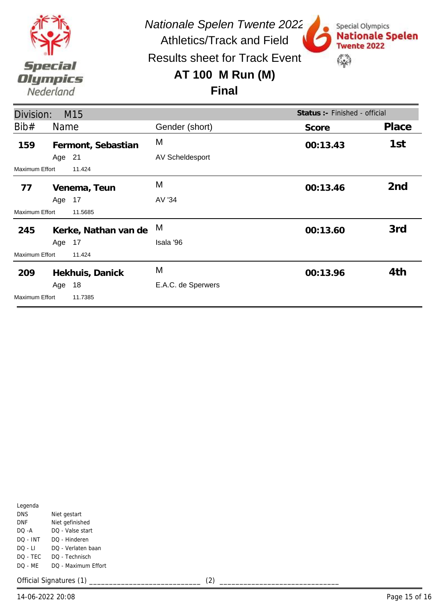

Special Olympics

**Twente 2022** 

\$

**Nationale Spelen** 

Athletics/Track and Field Results sheet for Track Event

### **AT 100 M Run (M)**

#### **Final**

| Division:      |        | M15                  |                        | Status : - Finished - official |                 |
|----------------|--------|----------------------|------------------------|--------------------------------|-----------------|
| Bib#           | Name   |                      | Gender (short)         | Score                          | Place           |
| 159            |        | Fermont, Sebastian   | M                      | 00:13.43                       | 1st             |
|                | Age 21 |                      | <b>AV Scheldesport</b> |                                |                 |
| Maximum Effort |        | 11.424               |                        |                                |                 |
| 77             |        | Venema, Teun         | M                      | 00:13.46                       | 2 <sub>nd</sub> |
|                | Age    | 17                   | AV '34                 |                                |                 |
| Maximum Effort |        | 11.5685              |                        |                                |                 |
| 245            |        | Kerke, Nathan van de | M                      | 00:13.60                       | 3rd             |
|                | Age    | 17                   | Isala '96              |                                |                 |
| Maximum Effort |        | 11.424               |                        |                                |                 |
| 209            |        | Hekhuis, Danick      | M                      | 00:13.96                       | 4th             |
|                | Age    | 18                   | E.A.C. de Sperwers     |                                |                 |
| Maximum Effort |        | 11.7385              |                        |                                |                 |

| Legenda  |                     |
|----------|---------------------|
| DNS      | Niet gestart        |
| DNF      | Niet gefinished     |
| DO -A    | DO - Valse start    |
| DO - INT | DO - Hinderen       |
| DO - LI  | DO - Verlaten baan  |
| DO - TEC | DO - Technisch      |
| DO - MF  | DO - Maximum Effort |
|          |                     |